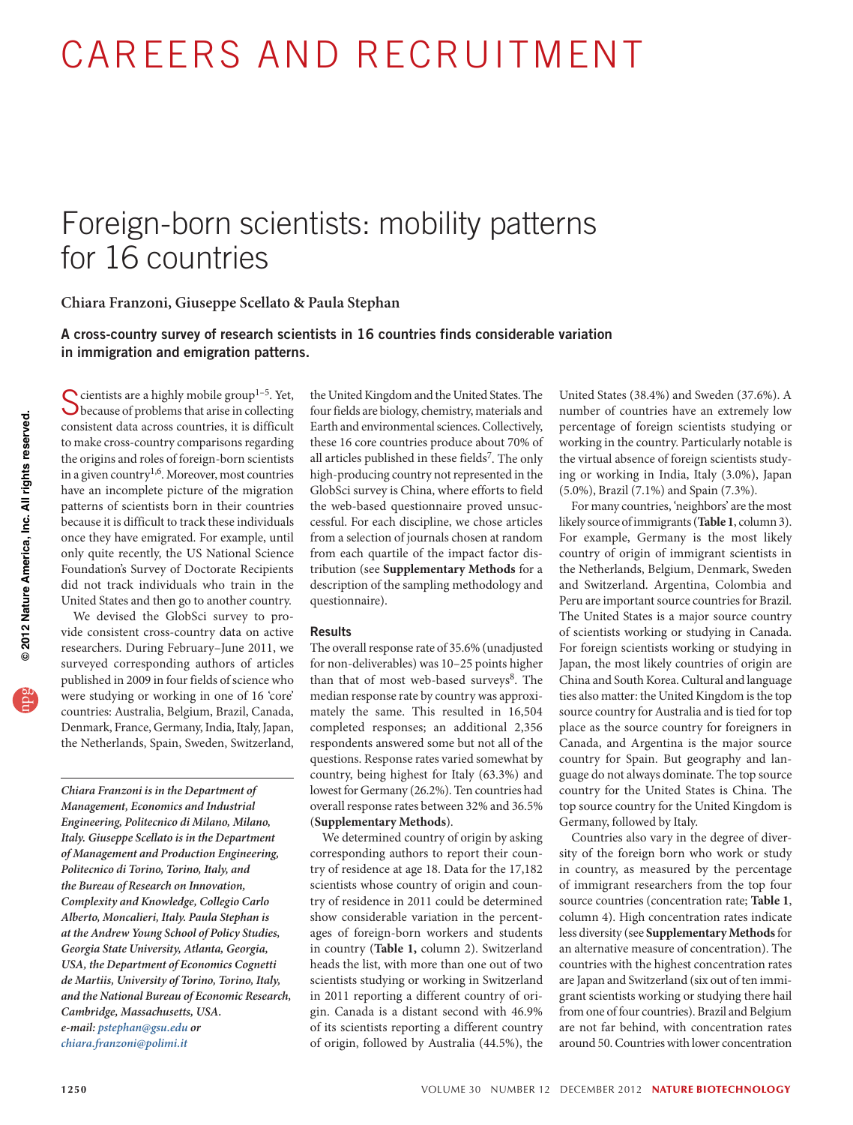# careers and recruitment

## Foreign-born scientists: mobility patterns for 16 countries

**Chiara Franzoni, Giuseppe Scellato & Paula Stephan**

A cross-country survey of research scientists in 16 countries finds considerable variation in immigration and emigration patterns.

 $\begin{split} \left\{\begin{aligned} \text{cientists are a highly mobile group}^{1-5} \text{. Yet,} \\ \text{because of problems that arise in collecting} \end{aligned}\right. \end{split}$ consistent data across countries, it is difficult to make cross-country comparisons regarding the origins and roles of foreign-born scientists in a given country<sup>1,6</sup>. Moreover, most countries have an incomplete picture of the migration patterns of scientists born in their countries because it is difficult to track these individuals once they have emigrated. For example, until only quite recently, the US National Science Foundation's Survey of Doctorate Recipients did not track individuals who train in the United States and then go to another country.

We devised the GlobSci survey to provide consistent cross-country data on active researchers. During February–June 2011, we surveyed corresponding authors of articles published in 2009 in four fields of science who were studying or working in one of 16 'core' countries: Australia, Belgium, Brazil, Canada, Denmark, France, Germany, India, Italy, Japan, the Netherlands, Spain, Sweden, Switzerland,

*Chiara Franzoni is in the Department of Management, Economics and Industrial Engineering, Politecnico di Milano, Milano, Italy. Giuseppe Scellato is in the Department of Management and Production Engineering, Politecnico di Torino, Torino, Italy, and the Bureau of Research on Innovation, Complexity and Knowledge, Collegio Carlo Alberto, Moncalieri, Italy. Paula Stephan is at the Andrew Young School of Policy Studies, Georgia State University, Atlanta, Georgia, USA, the Department of Economics Cognetti de Martiis, University of Torino, Torino, Italy, and the National Bureau of Economic Research, Cambridge, Massachusetts, USA. e-mail: [pstephan@gsu.edu](mailto:pstephan@gsu.edu) or [chiara.franzoni@polimi.it](mailto:chiara.franzoni@paolimi.it)*

the United Kingdom and the United States. The four fields are biology, chemistry, materials and Earth and environmental sciences. Collectively, these 16 core countries produce about 70% of all articles published in these fields<sup>7</sup>. The only high-producing country not represented in the GlobSci survey is China, where efforts to field the web-based questionnaire proved unsuccessful. For each discipline, we chose articles from a selection of journals chosen at random from each quartile of the impact factor distribution (see **Supplementary Methods** for a description of the sampling methodology and questionnaire).

#### **Results**

The overall response rate of 35.6% (unadjusted for non-deliverables) was 10–25 points higher than that of most web-based surveys<sup>8</sup>. The median response rate by country was approximately the same. This resulted in 16,504 completed responses; an additional 2,356 respondents answered some but not all of the questions. Response rates varied somewhat by country, being highest for Italy (63.3%) and lowest for Germany (26.2%). Ten countries had overall response rates between 32% and 36.5% (**Supplementary Methods**).

We determined country of origin by asking corresponding authors to report their country of residence at age 18. Data for the 17,182 scientists whose country of origin and country of residence in 2011 could be determined show considerable variation in the percentages of foreign-born workers and students in country (**Table 1,** column 2). Switzerland heads the list, with more than one out of two scientists studying or working in Switzerland in 2011 reporting a different country of origin. Canada is a distant second with 46.9% of its scientists reporting a different country of origin, followed by Australia (44.5%), the

United States (38.4%) and Sweden (37.6%). A number of countries have an extremely low percentage of foreign scientists studying or working in the country. Particularly notable is the virtual absence of foreign scientists studying or working in India, Italy (3.0%), Japan (5.0%), Brazil (7.1%) and Spain (7.3%).

For many countries, 'neighbors' are the most likely source of immigrants (**Table 1**, column 3). For example, Germany is the most likely country of origin of immigrant scientists in the Netherlands, Belgium, Denmark, Sweden and Switzerland. Argentina, Colombia and Peru are important source countries for Brazil. The United States is a major source country of scientists working or studying in Canada. For foreign scientists working or studying in Japan, the most likely countries of origin are China and South Korea. Cultural and language ties also matter: the United Kingdom is the top source country for Australia and is tied for top place as the source country for foreigners in Canada, and Argentina is the major source country for Spain. But geography and language do not always dominate. The top source country for the United States is China. The top source country for the United Kingdom is Germany, followed by Italy.

Countries also vary in the degree of diversity of the foreign born who work or study in country, as measured by the percentage of immigrant researchers from the top four source countries (concentration rate; **Table 1**, column 4). High concentration rates indicate less diversity (see **Supplementary Methods** for an alternative measure of concentration). The countries with the highest concentration rates are Japan and Switzerland (six out of ten immigrant scientists working or studying there hail from one of four countries). Brazil and Belgium are not far behind, with concentration rates around 50. Countries with lower concentration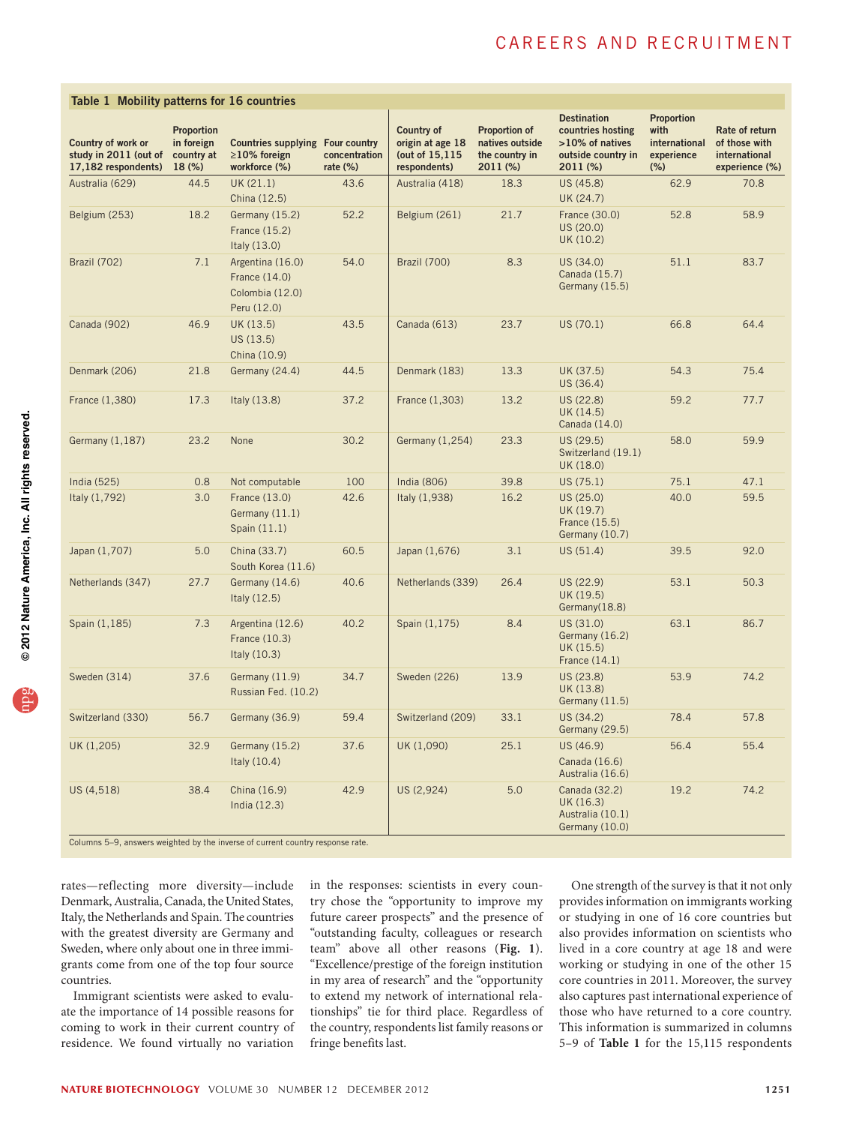## CAREERS AND RECRUITMENT

| Country of work or<br>study in 2011 (out of<br>17,182 respondents) | <b>Proportion</b><br>in foreign<br>country at<br>18(%) | Table 1 Mobility patterns for 16 countries<br><b>Countries supplying Four country</b><br>$\geq$ 10% foreign<br>workforce (%) | concentration<br>rate $(\%)$ | <b>Country of</b><br>origin at age 18<br>(out of 15,115)<br>respondents) | <b>Proportion of</b><br>natives outside<br>the country in<br>2011 (%) | <b>Destination</b><br>countries hosting<br>>10% of natives<br>outside country in<br>$2011$ (%) | Proportion<br>with<br>international<br>experience<br>(% ) | Rate of return<br>of those with<br>international<br>experience (%) |
|--------------------------------------------------------------------|--------------------------------------------------------|------------------------------------------------------------------------------------------------------------------------------|------------------------------|--------------------------------------------------------------------------|-----------------------------------------------------------------------|------------------------------------------------------------------------------------------------|-----------------------------------------------------------|--------------------------------------------------------------------|
| Australia (629)                                                    | 44.5                                                   | UK (21.1)<br>China (12.5)                                                                                                    | 43.6                         | Australia (418)                                                          | 18.3                                                                  | US (45.8)<br>UK (24.7)                                                                         | 62.9                                                      | 70.8                                                               |
| Belgium (253)                                                      | 18.2                                                   | Germany (15.2)<br>France (15.2)<br>Italy (13.0)                                                                              | 52.2                         | Belgium (261)                                                            | 21.7                                                                  | France (30.0)<br>US (20.0)<br>UK (10.2)                                                        | 52.8                                                      | 58.9                                                               |
| <b>Brazil (702)</b>                                                | 7.1                                                    | Argentina (16.0)<br><b>France (14.0)</b><br>Colombia (12.0)<br>Peru (12.0)                                                   | 54.0                         | <b>Brazil (700)</b>                                                      | 8.3                                                                   | US (34.0)<br>Canada (15.7)<br>Germany (15.5)                                                   | 51.1                                                      | 83.7                                                               |
| Canada (902)                                                       | 46.9                                                   | UK (13.5)<br>US (13.5)<br>China (10.9)                                                                                       | 43.5                         | Canada (613)                                                             | 23.7                                                                  | US (70.1)                                                                                      | 66.8                                                      | 64.4                                                               |
| Denmark (206)                                                      | 21.8                                                   | Germany (24.4)                                                                                                               | 44.5                         | Denmark (183)                                                            | 13.3                                                                  | UK (37.5)<br>US (36.4)                                                                         | 54.3                                                      | 75.4                                                               |
| France (1,380)                                                     | 17.3                                                   | Italy (13.8)                                                                                                                 | 37.2                         | France (1,303)                                                           | 13.2                                                                  | US (22.8)<br>UK (14.5)<br>Canada (14.0)                                                        | 59.2                                                      | 77.7                                                               |
| Germany (1,187)                                                    | 23.2                                                   | None                                                                                                                         | 30.2                         | Germany (1,254)                                                          | 23.3                                                                  | US (29.5)<br>Switzerland (19.1)<br>UK (18.0)                                                   | 58.0                                                      | 59.9                                                               |
| India (525)                                                        | 0.8                                                    | Not computable                                                                                                               | 100                          | India (806)                                                              | 39.8                                                                  | US (75.1)                                                                                      | 75.1                                                      | 47.1                                                               |
| Italy (1,792)                                                      | 3.0                                                    | France (13.0)<br>Germany (11.1)<br>Spain (11.1)                                                                              | 42.6                         | Italy (1,938)                                                            | 16.2                                                                  | US (25.0)<br>UK (19.7)<br>France (15.5)<br>Germany (10.7)                                      | 40.0                                                      | 59.5                                                               |
| Japan (1,707)                                                      | 5.0                                                    | China (33.7)<br>South Korea (11.6)                                                                                           | 60.5                         | Japan (1,676)                                                            | 3.1                                                                   | US (51.4)                                                                                      | 39.5                                                      | 92.0                                                               |
| Netherlands (347)                                                  | 27.7                                                   | Germany (14.6)<br>Italy (12.5)                                                                                               | 40.6                         | Netherlands (339)                                                        | 26.4                                                                  | US (22.9)<br>UK (19.5)<br>Germany $(18.8)$                                                     | 53.1                                                      | 50.3                                                               |
| Spain (1,185)                                                      | 7.3                                                    | Argentina (12.6)<br>France (10.3)<br>Italy (10.3)                                                                            | 40.2                         | Spain (1,175)                                                            | 8.4                                                                   | US (31.0)<br>Germany (16.2)<br>UK (15.5)<br>France $(14.1)$                                    | 63.1                                                      | 86.7                                                               |
| Sweden (314)                                                       | 37.6                                                   | Germany (11.9)<br>Russian Fed. (10.2)                                                                                        | 34.7                         | Sweden (226)                                                             | 13.9                                                                  | US (23.8)<br>UK (13.8)<br>Germany (11.5)                                                       | 53.9                                                      | 74.2                                                               |
| Switzerland (330)                                                  | 56.7                                                   | Germany (36.9)                                                                                                               | 59.4                         | Switzerland (209)                                                        | 33.1                                                                  | US (34.2)<br>Germany (29.5)                                                                    | 78.4                                                      | 57.8                                                               |
| UK (1,205)                                                         | 32.9                                                   | Germany (15.2)<br>Italy (10.4)                                                                                               | 37.6                         | UK (1,090)                                                               | 25.1                                                                  | US (46.9)<br>Canada (16.6)<br>Australia (16.6)                                                 | 56.4                                                      | 55.4                                                               |
| US (4,518)                                                         | 38.4                                                   | China (16.9)<br>India (12.3)                                                                                                 | 42.9                         | US (2,924)                                                               | 5.0                                                                   | Canada (32.2)<br>UK (16.3)<br>Australia (10.1)<br>Germany (10.0)                               | 19.2                                                      | 74.2                                                               |

Table 1 Mobility patterns for 16 countries

rates—reflecting more diversity—include Denmark, Australia, Canada, the United States, Italy, the Netherlands and Spain. The countries with the greatest diversity are Germany and Sweden, where only about one in three immigrants come from one of the top four source countries.

Immigrant scientists were asked to evaluate the importance of 14 possible reasons for coming to work in their current country of residence. We found virtually no variation

in the responses: scientists in every country chose the "opportunity to improve my future career prospects" and the presence of "outstanding faculty, colleagues or research team" above all other reasons (**Fig. 1**). "Excellence/prestige of the foreign institution in my area of research" and the "opportunity to extend my network of international relationships" tie for third place. Regardless of the country, respondents list family reasons or fringe benefits last.

One strength of the survey is that it not only provides information on immigrants working or studying in one of 16 core countries but also provides information on scientists who lived in a core country at age 18 and were working or studying in one of the other 15 core countries in 2011. Moreover, the survey also captures past international experience of those who have returned to a core country. This information is summarized in columns 5–9 of **Table 1** for the 15,115 respondents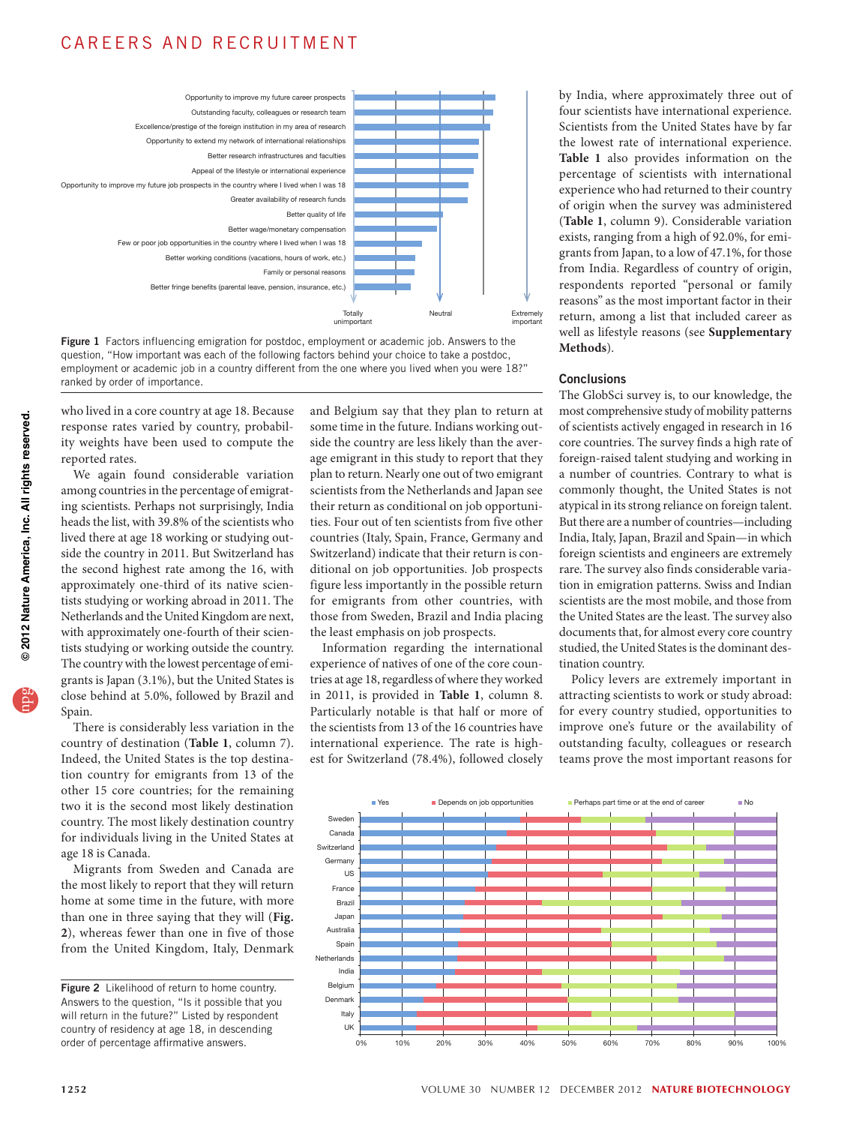## CAREERS AND RECRUITMENT



Figure 1 Factors influencing emigration for postdoc, employment or academic job. Answers to the question, "How important was each of the following factors behind your choice to take a postdoc, employment or academic job in a country different from the one where you lived when you were 18?" ranked by order of importance.

who lived in a core country at age 18. Because response rates varied by country, probability weights have been used to compute the reported rates.

We again found considerable variation among countries in the percentage of emigrating scientists. Perhaps not surprisingly, India heads the list, with 39.8% of the scientists who lived there at age 18 working or studying outside the country in 2011. But Switzerland has the second highest rate among the 16, with approximately one-third of its native scientists studying or working abroad in 2011. The Netherlands and the United Kingdom are next, with approximately one-fourth of their scientists studying or working outside the country. The country with the lowest percentage of emigrants is Japan (3.1%), but the United States is close behind at 5.0%, followed by Brazil and Spain.

There is considerably less variation in the country of destination (**Table 1**, column 7). Indeed, the United States is the top destination country for emigrants from 13 of the other 15 core countries; for the remaining two it is the second most likely destination country. The most likely destination country for individuals living in the United States at age 18 is Canada.

Migrants from Sweden and Canada are the most likely to report that they will return home at some time in the future, with more than one in three saying that they will (**Fig. 2**), whereas fewer than one in five of those from the United Kingdom, Italy, Denmark

and Belgium say that they plan to return at some time in the future. Indians working outside the country are less likely than the average emigrant in this study to report that they plan to return. Nearly one out of two emigrant scientists from the Netherlands and Japan see their return as conditional on job opportunities. Four out of ten scientists from five other countries (Italy, Spain, France, Germany and Switzerland) indicate that their return is conditional on job opportunities. Job prospects figure less importantly in the possible return for emigrants from other countries, with those from Sweden, Brazil and India placing the least emphasis on job prospects.

Information regarding the international experience of natives of one of the core countries at age 18, regardless of where they worked in 2011, is provided in **Table 1**, column 8. Particularly notable is that half or more of the scientists from 13 of the 16 countries have international experience. The rate is highest for Switzerland (78.4%), followed closely

by India, where approximately three out of four scientists have international experience. Scientists from the United States have by far the lowest rate of international experience. **Table 1** also provides information on the percentage of scientists with international experience who had returned to their country of origin when the survey was administered (**Table 1**, column 9). Considerable variation exists, ranging from a high of 92.0%, for emigrants from Japan, to a low of 47.1%, for those from India. Regardless of country of origin, respondents reported "personal or family reasons" as the most important factor in their return, among a list that included career as well as lifestyle reasons (see **Supplementary Methods**).

### **Conclusions**

The GlobSci survey is, to our knowledge, the most comprehensive study of mobility patterns of scientists actively engaged in research in 16 core countries. The survey finds a high rate of foreign-raised talent studying and working in a number of countries. Contrary to what is commonly thought, the United States is not atypical in its strong reliance on foreign talent. But there are a number of countries—including India, Italy, Japan, Brazil and Spain—in which foreign scientists and engineers are extremely rare. The survey also finds considerable variation in emigration patterns. Swiss and Indian scientists are the most mobile, and those from the United States are the least. The survey also documents that, for almost every core country studied, the United States is the dominant destination country.

Policy levers are extremely important in attracting scientists to work or study abroad: for every country studied, opportunities to improve one's future or the availability of outstanding faculty, colleagues or research teams prove the most important reasons for



Figure 2 Likelihood of return to home country. Answers to the question, "Is it possible that you will return in the future?" Listed by respondent country of residency at age 18, in descending order of percentage affirmative answers.